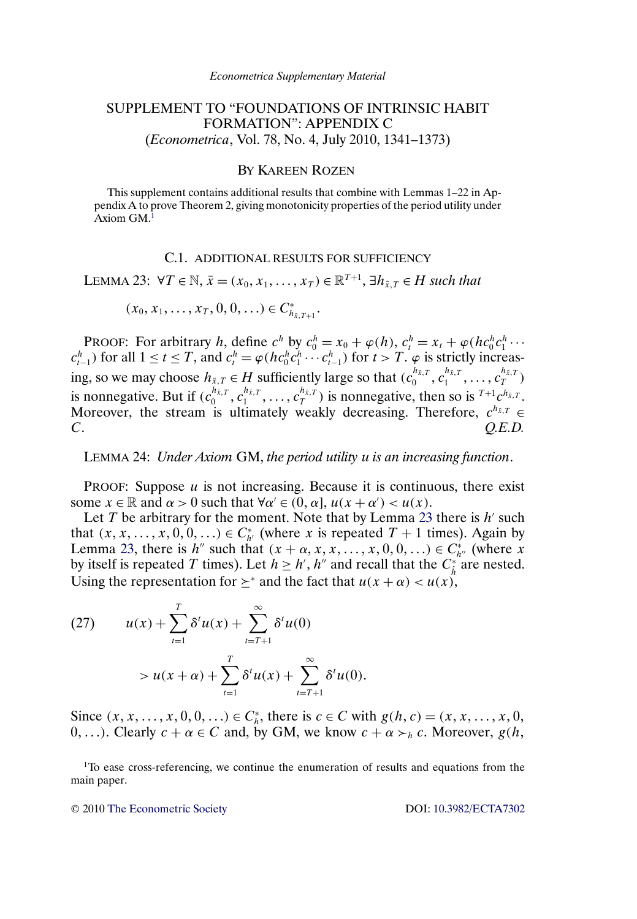## <span id="page-0-0"></span>SUPPLEMENT TO "FOUNDATIONS OF INTRINSIC HABIT FORMATION": APPENDIX C (*Econometrica*, Vol. 78, No. 4, July 2010, 1341–1373)

## BY KAREEN ROZEN

This supplement contains additional results that combine with Lemmas 1–22 in Appendix A to prove Theorem 2, giving monotonicity properties of the period utility under  $Axiom GM<sup>1</sup>$ 

## C.1. ADDITIONAL RESULTS FOR SUFFICIENCY

LEMMA 23:  $\forall T \in \mathbb{N}, \bar{x} = (x_0, x_1, \dots, x_T) \in \mathbb{R}^{T+1}, \exists h_{\bar{x},T} \in H$  such that

 $(x_0, x_1, \ldots, x_T, 0, 0, \ldots) \in C_{h_{\bar{x}, T+1}}^*$ .

PROOF: For arbitrary h, define  $c^h$  by  $c_0^h = x_0 + \varphi(h)$ ,  $c_t^h = x_t + \varphi(hc_0^h c_1^h \cdots)$  $c_{t-1}^h$ ) for all  $1 \le t \le T$ , and  $c_t^h = \varphi(hc_0^hc_1^h \cdots c_{t-1}^h)$  for  $t > T$ .  $\varphi$  is strictly increasing, so we may choose  $h_{\bar{x},T} \in H$  sufficiently large so that  $(c_0^{h_{\bar{x},T}}, c_1^{h_{\bar{x},T}}, \ldots, c_T^{h_{\bar{x},T}})$ is nonnegative. But if  $(c_0^{h_{\bar{x},T}}, c_1^{h_{\bar{x},T}}, \ldots, c_T^{h_{\bar{x},T}})$  is nonnegative, then so is  $^{T+1}c^{h_{\bar{x},T}}$ . Moreover, the stream is ultimately weakly decreasing. Therefore,  $c^{h_{\bar{x},T}} \in$ C. *Q.E.D.*

LEMMA 24: *Under Axiom* GM, *the period utility* u *is an increasing function*.

PROOF: Suppose  $u$  is not increasing. Because it is continuous, there exist some  $x \in \mathbb{R}$  and  $\alpha > 0$  such that  $\forall \alpha' \in (0, \alpha]$ ,  $u(x + \alpha') < u(x)$ .

Let T be arbitrary for the moment. Note that by Lemma 23 there is  $h'$  such that  $(x, x, \dots, x, 0, 0, \dots) \in C_{h'}^*$  (where x is repeated  $T + 1$  times). Again by Lemma 23, there is  $h''$  such that  $(x + \alpha, x, x, \dots, x, 0, 0, \dots) \in C_{h''}^*$  (where x by itself is repeated T times). Let  $h \ge h', h''$  and recall that the  $C_{\hat{h}}^*$  are nested. Using the representation for  $\geq^*$  and the fact that  $u(x + \alpha) < u(x)$ ,

(27) 
$$
u(x) + \sum_{t=1}^{T} \delta^{t} u(x) + \sum_{t=T+1}^{\infty} \delta^{t} u(0)
$$

$$
> u(x + \alpha) + \sum_{t=1}^{T} \delta^{t} u(x) + \sum_{t=T+1}^{\infty} \delta^{t} u(0).
$$

Since  $(x, x, ..., x, 0, 0, ...) \in C_h^*$ , there is  $c \in C$  with  $g(h, c) = (x, x, ..., x, 0, ...)$  $(0, \ldots)$ . Clearly  $c + \alpha \in C$  and, by GM, we know  $c + \alpha > h$  c. Moreover,  $g(h, \alpha)$ 

<sup>1</sup>To ease cross-referencing, we continue the enumeration of results and equations from the main paper.

© 2010 [The Econometric Society](http://www.econometricsociety.org/) DOI: [10.3982/ECTA7302](http://dx.doi.org/10.3982/ECTA7302)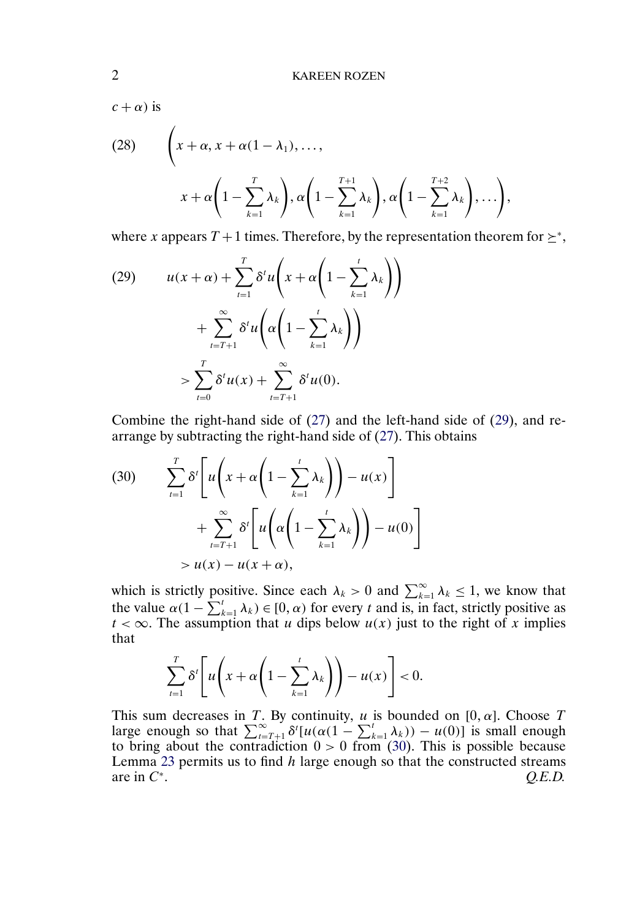$c + \alpha$ ) is

(28) 
$$
\left(x+\alpha, x+\alpha(1-\lambda_1), \ldots, \alpha\left(1-\sum_{k=1}^T \lambda_k\right), \alpha\left(1-\sum_{k=1}^{T+1} \lambda_k\right), \alpha\left(1-\sum_{k=1}^{T+2} \lambda_k\right), \ldots\right),
$$

where x appears  $T + 1$  times. Therefore, by the representation theorem for  $\geq^*$ ,

$$
(29) \qquad u(x+\alpha) + \sum_{t=1}^{T} \delta^{t} u\left(x + \alpha \left(1 - \sum_{k=1}^{t} \lambda_{k}\right)\right) \\
+ \sum_{t=T+1}^{\infty} \delta^{t} u\left(\alpha \left(1 - \sum_{k=1}^{t} \lambda_{k}\right)\right) \\
> \sum_{t=0}^{T} \delta^{t} u(x) + \sum_{t=T+1}^{\infty} \delta^{t} u(0).
$$

Combine the right-hand side of [\(27\)](#page-0-0) and the left-hand side of (29), and rearrange by subtracting the right-hand side of [\(27\)](#page-0-0). This obtains

$$
(30) \qquad \sum_{t=1}^{T} \delta^{t} \left[ u \left( x + \alpha \left( 1 - \sum_{k=1}^{t} \lambda_{k} \right) \right) - u(x) \right] \\ + \sum_{t=T+1}^{\infty} \delta^{t} \left[ u \left( \alpha \left( 1 - \sum_{k=1}^{t} \lambda_{k} \right) \right) - u(0) \right] \\ > u(x) - u(x + \alpha),
$$

which is strictly positive. Since each  $\lambda_k > 0$  and  $\sum_{k=1}^{\infty} \lambda_k \leq 1$ , we know that the value  $\alpha(1 - \sum_{k=1}^{t} \lambda_k) \in [0, \alpha)$  for every t and is, in fact, strictly positive as  $t < \infty$ . The assumption that u dips below  $u(x)$  just to the right of x implies that

$$
\sum_{t=1}^T \delta^t \left[ u \left( x + \alpha \left( 1 - \sum_{k=1}^t \lambda_k \right) \right) - u(x) \right] < 0.
$$

This sum decreases in T. By continuity, u is bounded on  $[0, \alpha]$ . Choose T large enough so that  $\sum_{t=T+1}^{\infty} \delta^{t} [u(\alpha(1-\sum_{k=1}^{t} \lambda_k)) - u(0)]$  is small enough to bring about the contradiction  $0 > 0$  from (30). This is possible because Lemma [23](#page-0-0) permits us to find  $h$  large enough so that the constructed streams are in C∗. *Q.E.D.*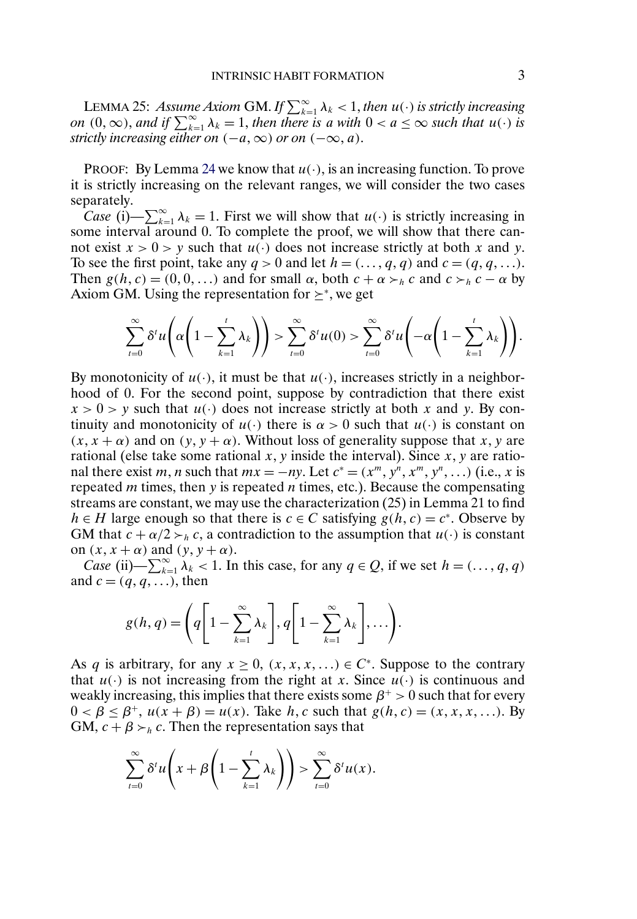LEMMA 25: *Assume Axiom* GM. If  $\sum_{k=1}^{\infty} \lambda_k < 1$ , *then*  $u(\cdot)$  *is strictly increasing on*  $(0, \infty)$ , *and if*  $\sum_{k=1}^{\infty} \lambda_k = 1$ , *then there is a with*  $0 < a \leq \infty$  *such that*  $u(\cdot)$  *is strictly increasing either on*  $(-a, \infty)$  *or on*  $(-\infty, a)$ *.* 

PROOF: By Lemma [24](#page-0-0) we know that  $u(\cdot)$ , is an increasing function. To prove it is strictly increasing on the relevant ranges, we will consider the two cases separately.

*Case* (i)— $\sum_{k=1}^{\infty} \lambda_k = 1$ . First we will show that  $u(\cdot)$  is strictly increasing in some interval around 0. To complete the proof, we will show that there cannot exist  $x > 0 > y$  such that  $u(\cdot)$  does not increase strictly at both x and y. To see the first point, take any  $q > 0$  and let  $h = (..., q, q)$  and  $c = (q, q, ...).$ Then  $g(h, c) = (0, 0, ...)$  and for small  $\alpha$ , both  $c + \alpha >_h c$  and  $c >_h c - \alpha$  by Axiom GM. Using the representation for  $\succeq^*$ , we get

$$
\sum_{t=0}^{\infty} \delta^t u \left( \alpha \left( 1 - \sum_{k=1}^t \lambda_k \right) \right) > \sum_{t=0}^{\infty} \delta^t u(0) > \sum_{t=0}^{\infty} \delta^t u \left( -\alpha \left( 1 - \sum_{k=1}^t \lambda_k \right) \right).
$$

By monotonicity of  $u(\cdot)$ , it must be that  $u(\cdot)$ , increases strictly in a neighborhood of 0. For the second point, suppose by contradiction that there exist  $x > 0 > y$  such that  $u(\cdot)$  does not increase strictly at both x and y. By continuity and monotonicity of  $u(\cdot)$  there is  $\alpha > 0$  such that  $u(\cdot)$  is constant on  $(x, x + \alpha)$  and on  $(y, y + \alpha)$ . Without loss of generality suppose that x, y are rational (else take some rational x, y inside the interval). Since  $x, y$  are rational there exist m, n such that  $mx = -ny$ . Let  $c^* = (x^m, y^n, x^m, y^n, ...)$  (i.e., x is repeated  $m$  times, then  $y$  is repeated  $n$  times, etc.). Because the compensating streams are constant, we may use the characterization (25) in Lemma 21 to find  $h \in H$  large enough so that there is  $c \in C$  satisfying  $g(h, c) = c^*$ . Observe by GM that  $c + \alpha/2 > h$ , a contradiction to the assumption that  $u(\cdot)$  is constant on  $(x, x + \alpha)$  and  $(y, y + \alpha)$ .

*Case* (ii) —  $\sum_{k=1}^{\infty} \lambda_k < 1$ . In this case, for any  $q \in Q$ , if we set  $h = (..., q, q)$ and  $c = (q, q, \ldots)$ , then

$$
g(h,q) = \left(q\left[1-\sum_{k=1}^{\infty}\lambda_k\right], q\left[1-\sum_{k=1}^{\infty}\lambda_k\right], \ldots\right).
$$

As q is arbitrary, for any  $x \ge 0$ ,  $(x, x, x, ...) \in C^*$ . Suppose to the contrary that  $u(\cdot)$  is not increasing from the right at x. Since  $u(\cdot)$  is continuous and weakly increasing, this implies that there exists some  $\beta^+ > 0$  such that for every  $0 < \beta \le \beta^+, u(x + \beta) = u(x)$ . Take h, c such that  $g(h, c) = (x, x, x, ...)$ . By GM,  $c + \beta >_h c$ . Then the representation says that

$$
\sum_{t=0}^{\infty} \delta^t u\left(x+\beta\left(1-\sum_{k=1}^t \lambda_k\right)\right) > \sum_{t=0}^{\infty} \delta^t u(x).
$$